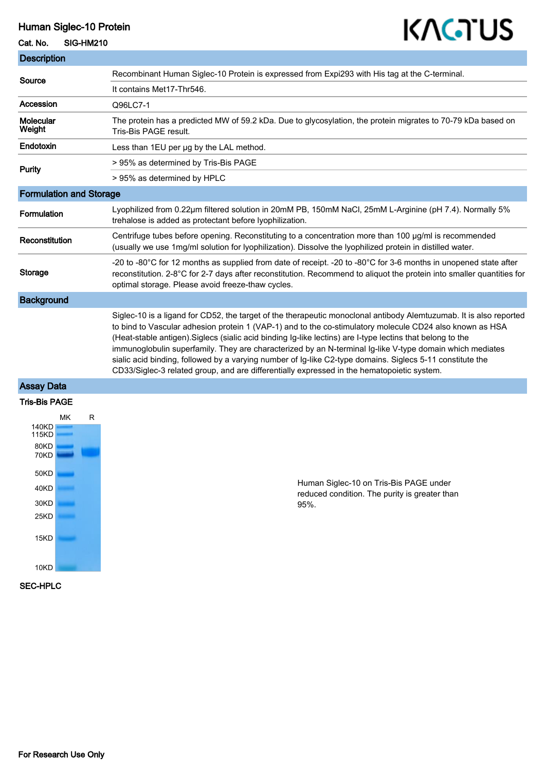## Human Siglec-10 Protein

#### Cat. No. SIG-HM210

## KAGTUS

| <b>Description</b>             |                                                                                                                                                                                                                                                                                                                                                                                                                                                                                                                                                                                                                                                                     |
|--------------------------------|---------------------------------------------------------------------------------------------------------------------------------------------------------------------------------------------------------------------------------------------------------------------------------------------------------------------------------------------------------------------------------------------------------------------------------------------------------------------------------------------------------------------------------------------------------------------------------------------------------------------------------------------------------------------|
| Source                         | Recombinant Human Siglec-10 Protein is expressed from Expi293 with His tag at the C-terminal.                                                                                                                                                                                                                                                                                                                                                                                                                                                                                                                                                                       |
|                                | It contains Met17-Thr546.                                                                                                                                                                                                                                                                                                                                                                                                                                                                                                                                                                                                                                           |
| Accession                      | Q96LC7-1                                                                                                                                                                                                                                                                                                                                                                                                                                                                                                                                                                                                                                                            |
| Molecular<br>Weight            | The protein has a predicted MW of 59.2 kDa. Due to glycosylation, the protein migrates to 70-79 kDa based on<br>Tris-Bis PAGE result.                                                                                                                                                                                                                                                                                                                                                                                                                                                                                                                               |
| Endotoxin                      | Less than 1EU per ug by the LAL method.                                                                                                                                                                                                                                                                                                                                                                                                                                                                                                                                                                                                                             |
| <b>Purity</b>                  | > 95% as determined by Tris-Bis PAGE                                                                                                                                                                                                                                                                                                                                                                                                                                                                                                                                                                                                                                |
|                                | > 95% as determined by HPLC                                                                                                                                                                                                                                                                                                                                                                                                                                                                                                                                                                                                                                         |
| <b>Formulation and Storage</b> |                                                                                                                                                                                                                                                                                                                                                                                                                                                                                                                                                                                                                                                                     |
| Formulation                    | Lyophilized from 0.22µm filtered solution in 20mM PB, 150mM NaCl, 25mM L-Arginine (pH 7.4). Normally 5%<br>trehalose is added as protectant before lyophilization.                                                                                                                                                                                                                                                                                                                                                                                                                                                                                                  |
| Reconstitution                 | Centrifuge tubes before opening. Reconstituting to a concentration more than 100 µg/ml is recommended<br>(usually we use 1mg/ml solution for lyophilization). Dissolve the lyophilized protein in distilled water.                                                                                                                                                                                                                                                                                                                                                                                                                                                  |
| <b>Storage</b>                 | -20 to -80°C for 12 months as supplied from date of receipt. -20 to -80°C for 3-6 months in unopened state after<br>reconstitution. 2-8°C for 2-7 days after reconstitution. Recommend to aliquot the protein into smaller quantities for<br>optimal storage. Please avoid freeze-thaw cycles.                                                                                                                                                                                                                                                                                                                                                                      |
| <b>Background</b>              |                                                                                                                                                                                                                                                                                                                                                                                                                                                                                                                                                                                                                                                                     |
|                                | Siglec-10 is a ligand for CD52, the target of the therapeutic monoclonal antibody Alemtuzumab. It is also reported<br>to bind to Vascular adhesion protein 1 (VAP-1) and to the co-stimulatory molecule CD24 also known as HSA<br>(Heat-stable antigen). Siglecs (sialic acid binding Ig-like lectins) are I-type lectins that belong to the<br>immunoglobulin superfamily. They are characterized by an N-terminal Ig-like V-type domain which mediates<br>sialic acid binding, followed by a varying number of Ig-like C2-type domains. Siglecs 5-11 constitute the<br>CD33/Siglec-3 related group, and are differentially expressed in the hematopoietic system. |

## Assay Data



Human Siglec-10 on Tris-Bis PAGE under reduced condition. The purity is greater than 95%.

### SEC-HPLC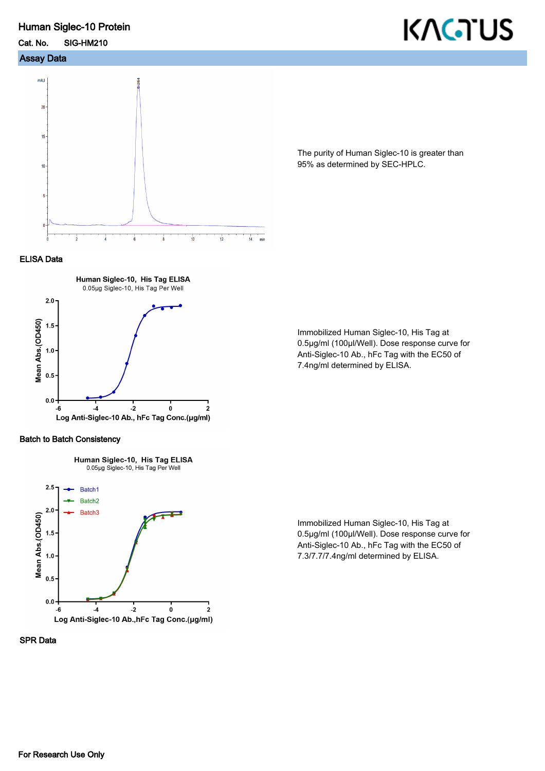#### Human Siglec-10 Protein

## Cat. No. SIG-HM210

## Assay Data



#### ELISA Data



#### The purity of Human Siglec-10 is greater than 95% as determined by SEC-HPLC.

Immobilized Human Siglec-10, His Tag at 0.5μg/ml (100μl/Well). Dose response curve for Anti-Siglec-10 Ab., hFc Tag with the EC50 of 7.4ng/ml determined by ELISA.

#### Batch to Batch Consistency



Human Siglec-10, His Tag ELISA 0.05µg Siglec-10, His Tag Per Well

Immobilized Human Siglec-10, His Tag at 0.5μg/ml (100μl/Well). Dose response curve for Anti-Siglec-10 Ab., hFc Tag with the EC50 of 7.3/7.7/7.4ng/ml determined by ELISA.

#### SPR Data